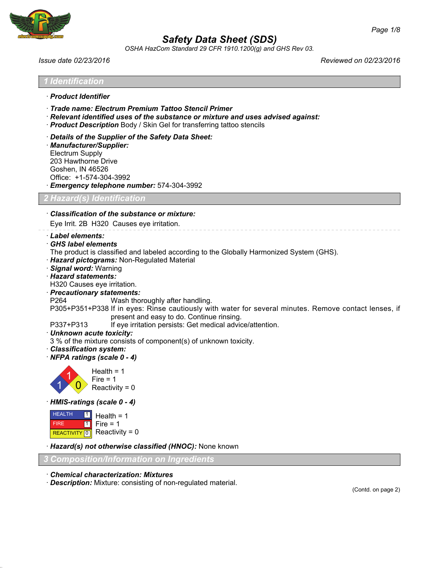

*OSHA HazCom Standard 29 CFR 1910.1200(g) and GHS Rev 03.*

*Issue date 02/23/2016 Reviewed on 02/23/2016*

| ' Identification                                                                                                                                                                                                                                                                                                                                                                                                                                                                                                                                                                                                                                                                                                                                            |
|-------------------------------------------------------------------------------------------------------------------------------------------------------------------------------------------------------------------------------------------------------------------------------------------------------------------------------------------------------------------------------------------------------------------------------------------------------------------------------------------------------------------------------------------------------------------------------------------------------------------------------------------------------------------------------------------------------------------------------------------------------------|
| · Product Identifier                                                                                                                                                                                                                                                                                                                                                                                                                                                                                                                                                                                                                                                                                                                                        |
| · Trade name: Electrum Premium Tattoo Stencil Primer<br>· Relevant identified uses of the substance or mixture and uses advised against:<br>· Product Description Body / Skin Gel for transferring tattoo stencils                                                                                                                                                                                                                                                                                                                                                                                                                                                                                                                                          |
| Details of the Supplier of the Safety Data Sheet:<br>· Manufacturer/Supplier:<br><b>Electrum Supply</b><br>203 Hawthorne Drive<br>Goshen, IN 46526<br>Office: +1-574-304-3992<br>Emergency telephone number: 574-304-3992                                                                                                                                                                                                                                                                                                                                                                                                                                                                                                                                   |
| ? Hazard(s) Identification                                                                                                                                                                                                                                                                                                                                                                                                                                                                                                                                                                                                                                                                                                                                  |
| Classification of the substance or mixture:<br>Eye Irrit. 2B H320 Causes eye irritation.                                                                                                                                                                                                                                                                                                                                                                                                                                                                                                                                                                                                                                                                    |
| · Label elements:<br><b>GHS label elements</b><br>The product is classified and labeled according to the Globally Harmonized System (GHS).<br>· Hazard pictograms: Non-Regulated Material<br>· Signal word: Warning<br>· Hazard statements:<br>H320 Causes eye irritation.<br>· Precautionary statements:<br>P <sub>264</sub><br>Wash thoroughly after handling.<br>P305+P351+P338 If in eyes: Rinse cautiously with water for several minutes. Remove contact lenses, if<br>present and easy to do. Continue rinsing.<br>If eye irritation persists: Get medical advice/attention.<br>P337+P313<br>· Unknown acute toxicity:<br>3 % of the mixture consists of component(s) of unknown toxicity.<br>· Classification system:<br>NFPA ratings (scale 0 - 4) |
| Health = $1$<br>Fire $= 1$<br>Reactivity = $0$                                                                                                                                                                                                                                                                                                                                                                                                                                                                                                                                                                                                                                                                                                              |
| HMIS-ratings (scale 0 - 4)                                                                                                                                                                                                                                                                                                                                                                                                                                                                                                                                                                                                                                                                                                                                  |
| <b>HEALTH</b><br>  1  <br>Health = $1$<br>$Fire = 1$<br><b>FIRE</b><br>  1  <br>Reactivity = $0$<br>REACTIVITY 0                                                                                                                                                                                                                                                                                                                                                                                                                                                                                                                                                                                                                                            |
| · Hazard(s) not otherwise classified (HNOC): None known                                                                                                                                                                                                                                                                                                                                                                                                                                                                                                                                                                                                                                                                                                     |
| Composition/Information on Ingredients                                                                                                                                                                                                                                                                                                                                                                                                                                                                                                                                                                                                                                                                                                                      |
| <b>Chemical characterization: Mixtures</b><br>· Description: Mixture: consisting of non-regulated material.                                                                                                                                                                                                                                                                                                                                                                                                                                                                                                                                                                                                                                                 |

(Contd. on page 2)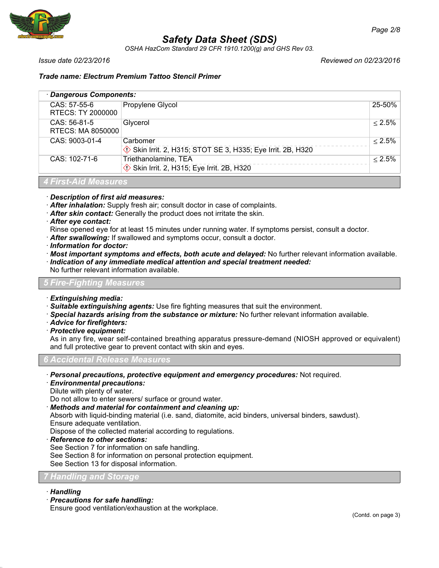

*OSHA HazCom Standard 29 CFR 1910.1200(g) and GHS Rev 03.*

*Issue date 02/23/2016 Reviewed on 02/23/2016*

## *Trade name: Electrum Premium Tattoo Stencil Primer*

| · Dangerous Components:           |                                                                       |           |  |  |
|-----------------------------------|-----------------------------------------------------------------------|-----------|--|--|
| CAS: 57-55-6<br>RTECS: TY 2000000 | Propylene Glycol                                                      | 25-50%    |  |  |
| CAS: 56-81-5<br>RTECS: MA 8050000 | Glycerol                                                              | $< 2.5\%$ |  |  |
| CAS: 9003-01-4                    | Carbomer<br>Skin Irrit. 2, H315; STOT SE 3, H335; Eye Irrit. 2B, H320 | $< 2.5\%$ |  |  |
| CAS: 102-71-6                     | Triethanolamine, TEA<br>Skin Irrit. 2, H315; Eye Irrit. 2B, H320      | $< 2.5\%$ |  |  |
| <b>4 First-Aid Measures</b>       |                                                                       |           |  |  |

· *Description of first aid measures:*

- · *After inhalation:* Supply fresh air; consult doctor in case of complaints.
- · *After skin contact:* Generally the product does not irritate the skin.
- · *After eye contact:*
- Rinse opened eye for at least 15 minutes under running water. If symptoms persist, consult a doctor.
- · *After swallowing:* If swallowed and symptoms occur, consult a doctor.
- · *Information for doctor:*
- · *Most important symptoms and effects, both acute and delayed:* No further relevant information available.
- · *Indication of any immediate medical attention and special treatment needed:* No further relevant information available.

## *5 Fire-Fighting Measures*

- · *Extinguishing media:*
- · *Suitable extinguishing agents:* Use fire fighting measures that suit the environment.
- · *Special hazards arising from the substance or mixture:* No further relevant information available.
- · *Advice for firefighters:*
- · *Protective equipment:*

As in any fire, wear self-contained breathing apparatus pressure-demand (NIOSH approved or equivalent) and full protective gear to prevent contact with skin and eyes.

### *6 Accidental Release Measures*

- · *Personal precautions, protective equipment and emergency procedures:* Not required.
- · *Environmental precautions:*

Dilute with plenty of water.

Do not allow to enter sewers/ surface or ground water.

· *Methods and material for containment and cleaning up:*

Absorb with liquid-binding material (i.e. sand, diatomite, acid binders, universal binders, sawdust). Ensure adequate ventilation.

Dispose of the collected material according to regulations.

- · *Reference to other sections:*
- See Section 7 for information on safe handling.

See Section 8 for information on personal protection equipment.

See Section 13 for disposal information.

### *7 Handling and Storage*

- · *Handling*
- · *Precautions for safe handling:*

Ensure good ventilation/exhaustion at the workplace.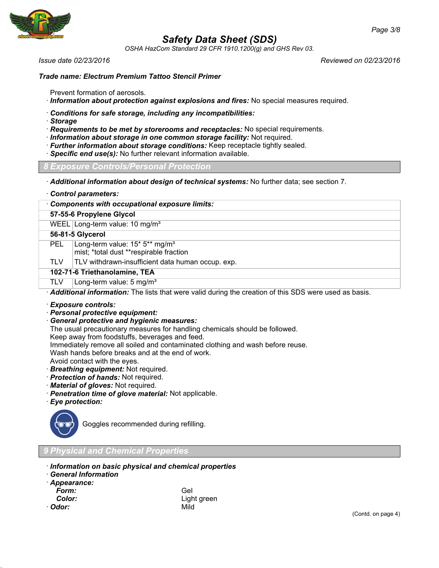

*OSHA HazCom Standard 29 CFR 1910.1200(g) and GHS Rev 03.*

*Issue date 02/23/2016 Reviewed on 02/23/2016*

#### *Trade name: Electrum Premium Tattoo Stencil Primer*

Prevent formation of aerosols.

- · *Information about protection against explosions and fires:* No special measures required.
- · *Conditions for safe storage, including any incompatibilities:*
- · *Storage*
- · *Requirements to be met by storerooms and receptacles:* No special requirements.
- · *Information about storage in one common storage facility:* Not required.
- · *Further information about storage conditions:* Keep receptacle tightly sealed.
- · *Specific end use(s):* No further relevant information available.

#### *8 Exposure Controls/Personal Protection*

· *Additional information about design of technical systems:* No further data; see section 7.

| Control parameters: |
|---------------------|
|---------------------|

· *Components with occupational exposure limits:*

### **57-55-6 Propylene Glycol**

WEEL Long-term value: 10 mg/m<sup>3</sup>

## **56-81-5 Glycerol**

PEL Long-term value: 15\* 5\*\* mg/m<sup>3</sup>

mist; \*total dust \*\*respirable fraction

 $TLV$  TLV withdrawn-insufficient data human occup. exp.

#### **102-71-6 Triethanolamine, TEA**

#### TLV  $\vert$  Long-term value: 5 mg/m<sup>3</sup>

· *Additional information:* The lists that were valid during the creation of this SDS were used as basis.

#### · *Exposure controls:*

- · *Personal protective equipment:*
- · *General protective and hygienic measures:*
- The usual precautionary measures for handling chemicals should be followed.
- Keep away from foodstuffs, beverages and feed.
- Immediately remove all soiled and contaminated clothing and wash before reuse.

Wash hands before breaks and at the end of work.

- Avoid contact with the eyes.
- · *Breathing equipment:* Not required.
- · *Protection of hands:* Not required.
- · *Material of gloves:* Not required.
- · *Penetration time of glove material:* Not applicable.
- · *Eye protection:*



Goggles recommended during refilling.

## *9 Physical and Chemical Properties*

- · *Information on basic physical and chemical properties*
- · *General Information*
- · *Appearance:*
	-
- · *Odor:* Mild

*Form:* Gel *Color:* Light green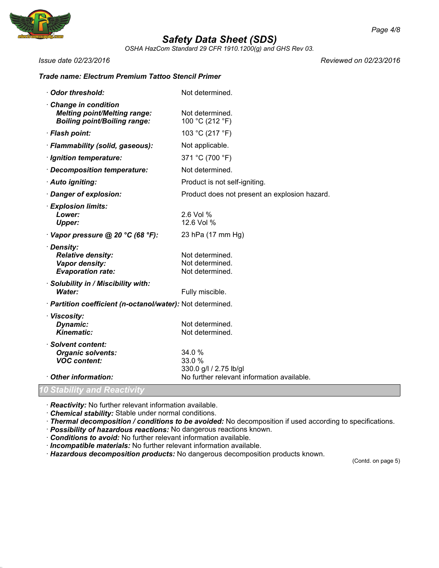

*OSHA HazCom Standard 29 CFR 1910.1200(g) and GHS Rev 03.*

*Issue date 02/23/2016 Reviewed on 02/23/2016*

## *Trade name: Electrum Premium Tattoo Stencil Primer*

| <b>Odor threshold:</b>                                                                            | Not determined.                                       |
|---------------------------------------------------------------------------------------------------|-------------------------------------------------------|
| Change in condition<br><b>Melting point/Melting range:</b><br><b>Boiling point/Boiling range:</b> | Not determined.<br>100 °C (212 °F)                    |
| · Flash point:                                                                                    | 103 °C (217 °F)                                       |
| · Flammability (solid, gaseous):                                                                  | Not applicable.                                       |
| · Ignition temperature:                                                                           | 371 °C (700 °F)                                       |
| · Decomposition temperature:                                                                      | Not determined.                                       |
| · Auto igniting:                                                                                  | Product is not self-igniting.                         |
| Danger of explosion:                                                                              | Product does not present an explosion hazard.         |
| <b>Explosion limits:</b><br>Lower:<br><b>Upper:</b>                                               | 2.6 Vol %<br>12.6 Vol %                               |
| Vapor pressure @ 20 °C (68 °F):                                                                   | 23 hPa (17 mm Hg)                                     |
| · Density:<br><b>Relative density:</b><br>Vapor density:<br><b>Evaporation rate:</b>              | Not determined.<br>Not determined.<br>Not determined. |
| · Solubility in / Miscibility with:<br>Water:                                                     | Fully miscible.                                       |
| · Partition coefficient (n-octanol/water): Not determined.                                        |                                                       |
| · Viscosity:<br>Dynamic:<br><b>Kinematic:</b>                                                     | Not determined.<br>Not determined.                    |
| · Solvent content:<br><b>Organic solvents:</b><br><b>VOC content:</b>                             | 34.0 %<br>33.0 %<br>330.0 g/l / 2.75 lb/gl            |
| Other information:                                                                                | No further relevant information available.            |
| 0 Stability and Reactivity                                                                        |                                                       |

· *Reactivity:* No further relevant information available.

- · *Chemical stability:* Stable under normal conditions.
- · *Thermal decomposition / conditions to be avoided:* No decomposition if used according to specifications.
- · *Possibility of hazardous reactions:* No dangerous reactions known.
- · *Conditions to avoid:* No further relevant information available.
- · *Incompatible materials:* No further relevant information available.
- · *Hazardous decomposition products:* No dangerous decomposition products known.

(Contd. on page 5)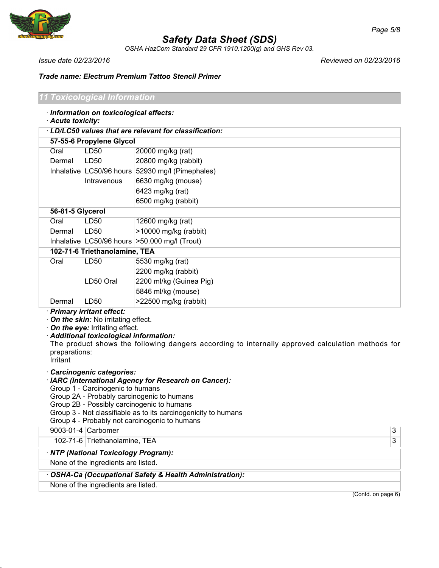

*OSHA HazCom Standard 29 CFR 1910.1200(g) and GHS Rev 03.*

*Issue date 02/23/2016 Reviewed on 02/23/2016*

## *Trade name: Electrum Premium Tattoo Stencil Primer*

#### *11 Toxicological Information*

- · *Information on toxicological effects:*
- · *Acute toxicity:*

| · LD/LC50 values that are relevant for classification: |                           |                                                    |  |  |
|--------------------------------------------------------|---------------------------|----------------------------------------------------|--|--|
| 57-55-6 Propylene Glycol                               |                           |                                                    |  |  |
| Oral                                                   | LD <sub>50</sub>          | 20000 mg/kg (rat)                                  |  |  |
| Dermal                                                 | LD50                      | 20800 mg/kg (rabbit)                               |  |  |
|                                                        | Inhalative LC50/96 hours  | 52930 mg/l (Pimephales)                            |  |  |
|                                                        | Intravenous               | 6630 mg/kg (mouse)                                 |  |  |
|                                                        |                           | 6423 mg/kg (rat)                                   |  |  |
|                                                        |                           | 6500 mg/kg (rabbit)                                |  |  |
| 56-81-5 Glycerol                                       |                           |                                                    |  |  |
| Oral                                                   | LD <sub>50</sub>          | 12600 mg/kg (rat)                                  |  |  |
| Dermal                                                 | LD50                      | >10000 mg/kg (rabbit)                              |  |  |
|                                                        |                           | Inhalative   LC50/96 hours   > 50.000 mg/l (Trout) |  |  |
| 102-71-6 Triethanolamine, TEA                          |                           |                                                    |  |  |
| Oral                                                   | LD <sub>50</sub>          | 5530 mg/kg (rat)                                   |  |  |
|                                                        |                           | 2200 mg/kg (rabbit)                                |  |  |
|                                                        | LD50 Oral                 | 2200 ml/kg (Guinea Pig)                            |  |  |
|                                                        |                           | 5846 ml/kg (mouse)                                 |  |  |
| Dermal                                                 | LD <sub>50</sub>          | $>22500$ mg/kg (rabbit)                            |  |  |
|                                                        | Drimann, irritant affaat: |                                                    |  |  |

· *Primary irritant effect:*

· *On the skin:* No irritating effect.

· *On the eye:* Irritating effect.

· *Additional toxicological information:*

The product shows the following dangers according to internally approved calculation methods for preparations:

Irritant

· *Carcinogenic categories:*

### · *IARC (International Agency for Research on Cancer):*

Group 1 - Carcinogenic to humans

Group 2A - Probably carcinogenic to humans

Group 2B - Possibly carcinogenic to humans

Group 3 - Not classifiable as to its carcinogenicity to humans

Group 4 - Probably not carcinogenic to humans

9003-01-4 Carbomer 3

102-71-6 Triethanolamine, TEA 3

### · *NTP (National Toxicology Program):*

None of the ingredients are listed.

### · *OSHA-Ca (Occupational Safety & Health Administration):*

None of the ingredients are listed.

(Contd. on page 6)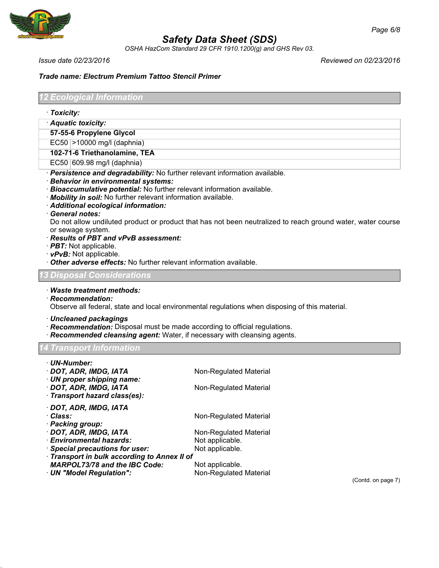

*OSHA HazCom Standard 29 CFR 1910.1200(g) and GHS Rev 03.*

*Issue date 02/23/2016 Reviewed on 02/23/2016*

## *Trade name: Electrum Premium Tattoo Stencil Primer*

*12 Ecological Information*

- · *Toxicity:*
- · *Aquatic toxicity:*

**57-55-6 Propylene Glycol**

EC50 >10000 mg/l (daphnia)

**102-71-6 Triethanolamine, TEA**

EC50 609.98 mg/l (daphnia)

- · *Persistence and degradability:* No further relevant information available.
- · *Behavior in environmental systems:*
- · *Bioaccumulative potential:* No further relevant information available.

· *Mobility in soil:* No further relevant information available.

- · *Additional ecological information:*
- · *General notes:*

Do not allow undiluted product or product that has not been neutralized to reach ground water, water course or sewage system.

- · *Results of PBT and vPvB assessment:*
- · *PBT:* Not applicable.
- · *vPvB:* Not applicable.
- · *Other adverse effects:* No further relevant information available.

### *13 Disposal Considerations*

- · *Waste treatment methods:*
- · *Recommendation:*

Observe all federal, state and local environmental regulations when disposing of this material.

- · *Uncleaned packagings*
- · *Recommendation:* Disposal must be made according to official regulations.
- · *Recommended cleansing agent:* Water, if necessary with cleansing agents.

*14 Transport Information*

| · UN-Number:                               |                        |  |  |  |
|--------------------------------------------|------------------------|--|--|--|
| · DOT, ADR, IMDG, IATA                     | Non-Regulated Material |  |  |  |
| · UN proper shipping name:                 |                        |  |  |  |
| · DOT, ADR, IMDG, IATA                     | Non-Regulated Material |  |  |  |
| · Transport hazard class(es):              |                        |  |  |  |
| · DOT, ADR, IMDG, IATA                     |                        |  |  |  |
| · Class:                                   | Non-Regulated Material |  |  |  |
| · Packing group:                           |                        |  |  |  |
| · DOT, ADR, IMDG, IATA                     | Non-Regulated Material |  |  |  |
| · Environmental hazards:                   | Not applicable.        |  |  |  |
| · Special precautions for user:            | Not applicable.        |  |  |  |
| Transport in bulk according to Annex II of |                        |  |  |  |
| <b>MARPOL73/78 and the IBC Code:</b>       | Not applicable.        |  |  |  |
| UN "Model Regulation":                     | Non-Regulated Material |  |  |  |

(Contd. on page 7)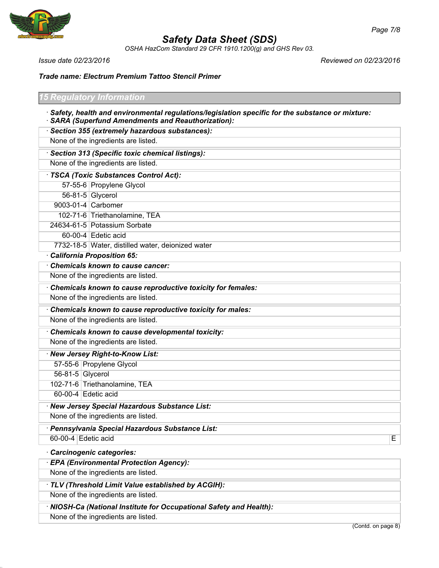

*OSHA HazCom Standard 29 CFR 1910.1200(g) and GHS Rev 03.*

*Issue date 02/23/2016 Reviewed on 02/23/2016*

*Trade name: Electrum Premium Tattoo Stencil Primer*

*15 Regulatory Information* · *Safety, health and environmental regulations/legislation specific for the substance or mixture:* · *SARA (Superfund Amendments and Reauthorization):* · *Section 355 (extremely hazardous substances):* None of the ingredients are listed. · *Section 313 (Specific toxic chemical listings):* None of the ingredients are listed. · *TSCA (Toxic Substances Control Act):* 57-55-6 Propylene Glycol 56-81-5 Glycerol 9003-01-4 Carbomer 102-71-6 Triethanolamine, TEA 24634-61-5 Potassium Sorbate 60-00-4 Edetic acid 7732-18-5 Water, distilled water, deionized water · *California Proposition 65:* · *Chemicals known to cause cancer:* None of the ingredients are listed. · *Chemicals known to cause reproductive toxicity for females:* None of the ingredients are listed. · *Chemicals known to cause reproductive toxicity for males:* None of the ingredients are listed. · *Chemicals known to cause developmental toxicity:* None of the ingredients are listed. · *New Jersey Right-to-Know List:* 57-55-6 Propylene Glycol 56-81-5 Glycerol 102-71-6 Triethanolamine, TEA 60-00-4 Edetic acid

· *New Jersey Special Hazardous Substance List:* None of the ingredients are listed.

· *Pennsylvania Special Hazardous Substance List:*

60-00-4 Edetic acid Equation Contract Contract Contract Contract Contract Contract Contract Contract Contract Contract Contract Contract Contract Contract Contract Contract Contract Contract Contract Contract Contract Cont

· *Carcinogenic categories:*

· *EPA (Environmental Protection Agency):*

None of the ingredients are listed.

· *TLV (Threshold Limit Value established by ACGIH):*

None of the ingredients are listed.

· *NIOSH-Ca (National Institute for Occupational Safety and Health):*

None of the ingredients are listed.